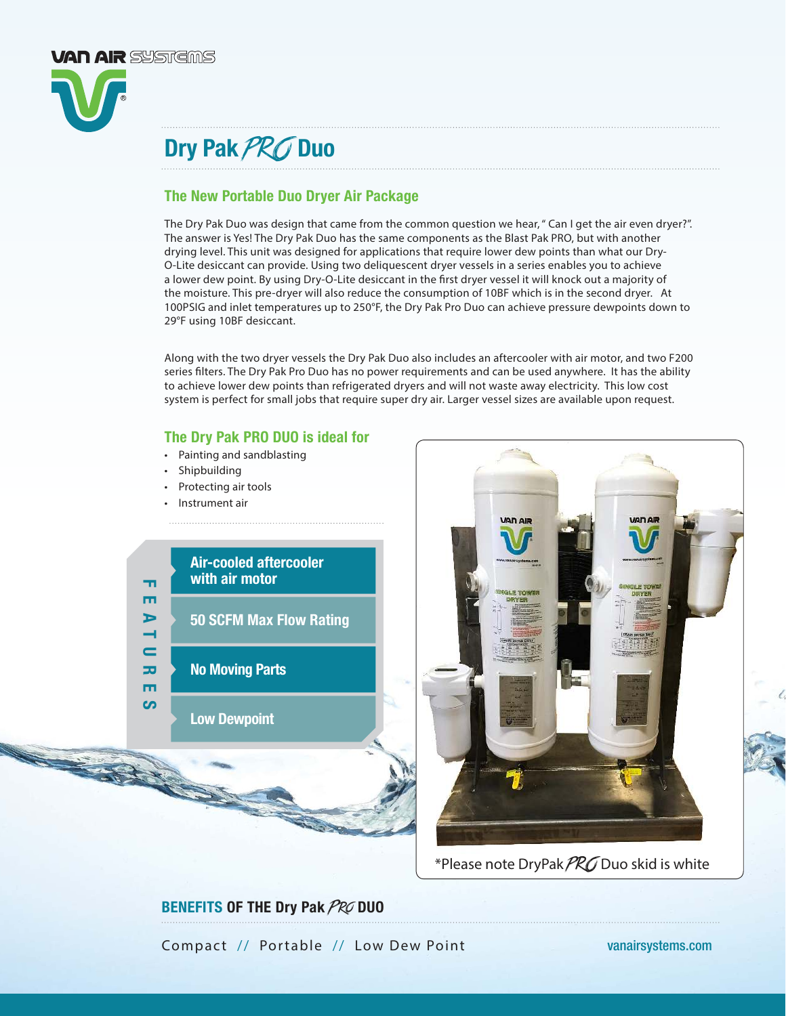

## Dry Pak PRO Duo

## The New Portable Duo Dryer Air Package

The Dry Pak Duo was design that came from the common question we hear, " Can I get the air even dryer?". The answer is Yes! The Dry Pak Duo has the same components as the Blast Pak PRO, but with another drying level. This unit was designed for applications that require lower dew points than what our Dry-O-Lite desiccant can provide. Using two deliquescent dryer vessels in a series enables you to achieve a lower dew point. By using Dry-O-Lite desiccant in the first dryer vessel it will knock out a majority of the moisture. This pre-dryer will also reduce the consumption of 10BF which is in the second dryer. At 100PSIG and inlet temperatures up to 250°F, the Dry Pak Pro Duo can achieve pressure dewpoints down to 29°F using 10BF desiccant.

Along with the two dryer vessels the Dry Pak Duo also includes an aftercooler with air motor, and two F200 series filters. The Dry Pak Pro Duo has no power requirements and can be used anywhere. It has the ability to achieve lower dew points than refrigerated dryers and will not waste away electricity. This low cost system is perfect for small jobs that require super dry air. Larger vessel sizes are available upon request.

### The Dry Pak PRO DUO is ideal for

- Painting and sandblasting
- **Shipbuilding**
- Protecting air tools
- Instrument air





\*Please note DryPak  $PRO$  Duo skid is white

## BENEFITS OF THE Dry Pak PRO DUO

Compact // Portable // Low Dew Point vanairsystems.com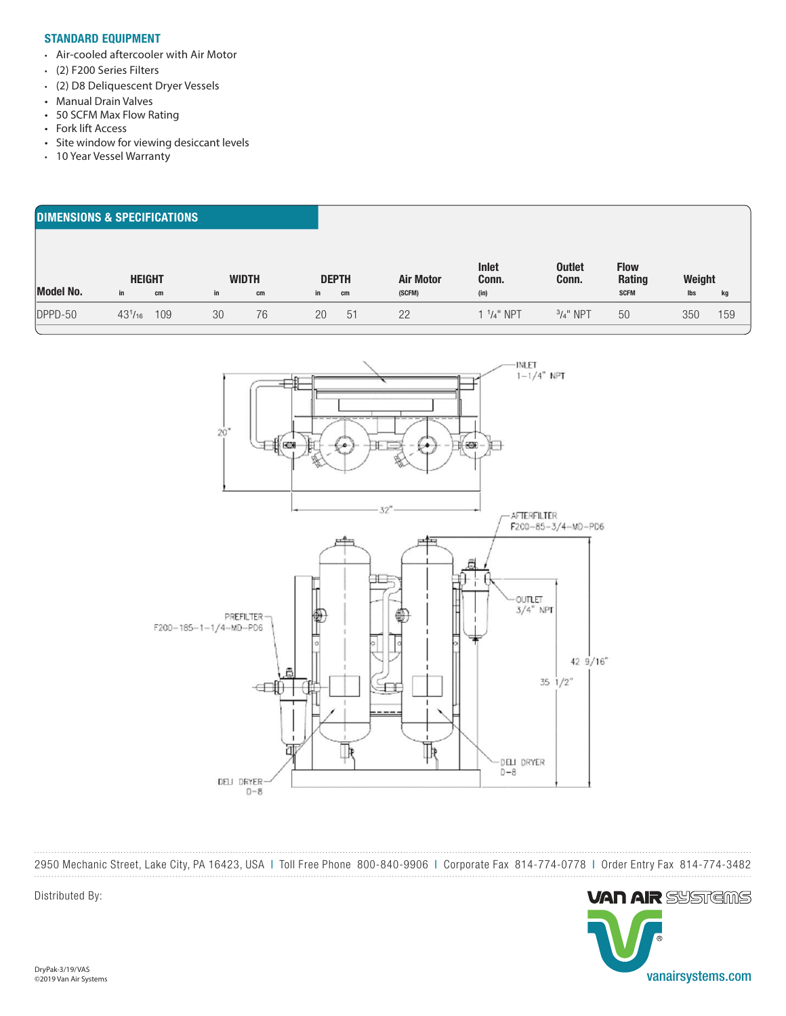#### STANDARD EQUIPMENT

- Air-cooled aftercooler with Air Motor
- (2) F200 Series Filters
- (2) D8 Deliquescent Dryer Vessels
- Manual Drain Valves
- 50 SCFM Max Flow Rating
- Fork lift Access
- Site window for viewing desiccant levels
- 10 Year Vessel Warranty

#### DIMENSIONS & SPECIFICATIONS

|                  | <b>HEIGHT</b>  |     | <b>WIDTH</b> |    |    | <b>DEPTH</b> | <b>Air Motor</b> | Inlet<br>Conn. | <b>Outlet</b><br>Conn. | <b>Flow</b><br>Rating | Weight |     |
|------------------|----------------|-----|--------------|----|----|--------------|------------------|----------------|------------------------|-----------------------|--------|-----|
| <b>Model No.</b> | in.            | cm  | in           | cm | in | cm           | (SCFM)           | (in)           |                        | <b>SCFM</b>           | lbs    | kg  |
| DPPD-50          | $43^{1}/_{16}$ | 109 | 30           | 76 | 20 | 51           | 22               | $1.14$ " NPT   | $3/4"$ NPT             | 50                    | 350    | 159 |
|                  |                |     |              |    |    |              |                  |                |                        |                       |        |     |



2950 Mechanic Street, Lake City, PA 16423, USA | Toll Free Phone 800-840-9906 | Corporate Fax 814-774-0778 | Order Entry Fax 814-774-3482



Distributed By: